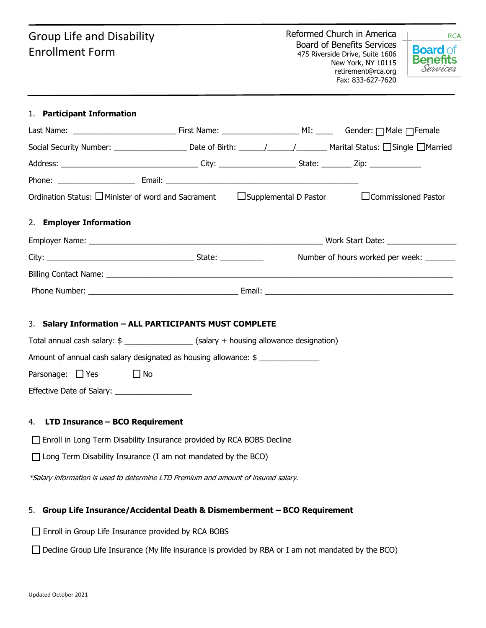# Group Life and Disability Enrollment Form

Reformed Church in America Board of Benefits Services 475 Riverside Drive, Suite 1606 New York, NY 10115 retirement@rca.org Fax: 833-627-7620



| 1. Participant Information                                                                                                                            |  |  |                                  |
|-------------------------------------------------------------------------------------------------------------------------------------------------------|--|--|----------------------------------|
|                                                                                                                                                       |  |  |                                  |
| Social Security Number: _________________________ Date of Birth: ______/______/___________ Marital Status: □Single □Married                           |  |  |                                  |
|                                                                                                                                                       |  |  |                                  |
|                                                                                                                                                       |  |  |                                  |
| Ordination Status: $\square$ Minister of word and Sacrament $\square$ Supplemental D Pastor                                                           |  |  | □Commissioned Pastor             |
| 2. Employer Information                                                                                                                               |  |  |                                  |
|                                                                                                                                                       |  |  |                                  |
|                                                                                                                                                       |  |  | Number of hours worked per week: |
|                                                                                                                                                       |  |  |                                  |
|                                                                                                                                                       |  |  |                                  |
| 3. Salary Information - ALL PARTICIPANTS MUST COMPLETE<br>Total annual cash salary: \$ ______________________(salary + housing allowance designation) |  |  |                                  |
| Amount of annual cash salary designated as housing allowance: \$                                                                                      |  |  |                                  |
| Parsonage: $\Box$ Yes<br>$\Box$ No                                                                                                                    |  |  |                                  |
| Effective Date of Salary: _____________________                                                                                                       |  |  |                                  |
| 4. LTD Insurance - BCO Requirement                                                                                                                    |  |  |                                  |
| □ Enroll in Long Term Disability Insurance provided by RCA BOBS Decline                                                                               |  |  |                                  |
| $\Box$ Long Term Disability Insurance (I am not mandated by the BCO)                                                                                  |  |  |                                  |
| *Salary information is used to determine LTD Premium and amount of insured salary.                                                                    |  |  |                                  |

## 5. **Group Life Insurance/Accidental Death & Dismemberment – BCO Requirement**

- Enroll in Group Life Insurance provided by RCA BOBS
- $\Box$  Decline Group Life Insurance (My life insurance is provided by RBA or I am not mandated by the BCO)